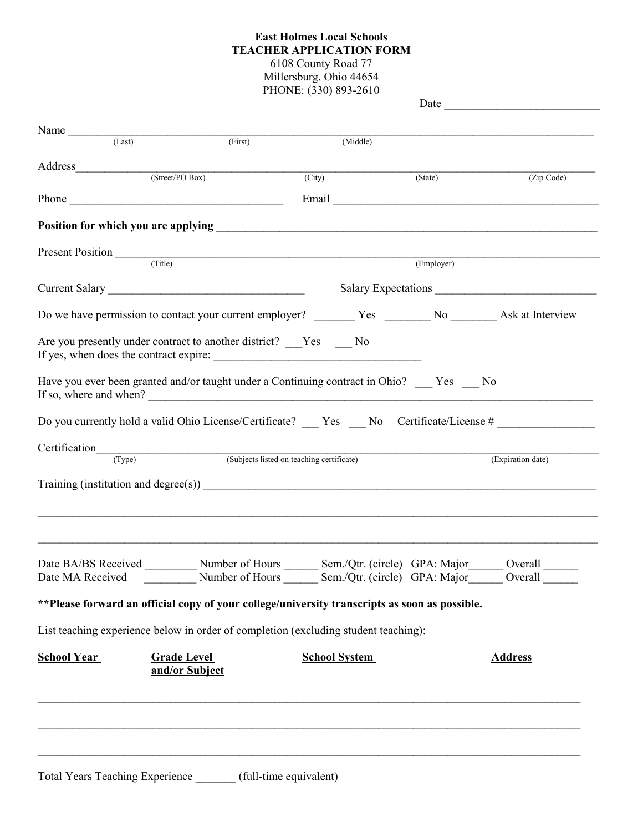## **East Holmes Local Schools TEACHER APPLICATION FORM** 6108 County Road 77

Millersburg, Ohio 44654 PHONE: (330) 893-2610

|                         |                                                                                                |                      |          |                               | Date                                                                                                                                                                                                                           |
|-------------------------|------------------------------------------------------------------------------------------------|----------------------|----------|-------------------------------|--------------------------------------------------------------------------------------------------------------------------------------------------------------------------------------------------------------------------------|
|                         |                                                                                                |                      |          |                               |                                                                                                                                                                                                                                |
| Name $\frac{1}{(Last)}$ | (First)                                                                                        |                      | (Middle) |                               |                                                                                                                                                                                                                                |
|                         |                                                                                                |                      |          |                               |                                                                                                                                                                                                                                |
|                         | (Street/PO Box)                                                                                | (City)               |          | (State)                       | (Zip Code)                                                                                                                                                                                                                     |
|                         |                                                                                                |                      |          |                               | Email Land and the contract of the contract of the contract of the contract of the contract of the contract of the contract of the contract of the contract of the contract of the contract of the contract of the contract of |
|                         |                                                                                                |                      |          |                               |                                                                                                                                                                                                                                |
|                         |                                                                                                |                      |          |                               |                                                                                                                                                                                                                                |
|                         | Present Position (Title)                                                                       |                      |          | (Employer)                    |                                                                                                                                                                                                                                |
|                         |                                                                                                |                      |          |                               |                                                                                                                                                                                                                                |
|                         |                                                                                                |                      |          |                               |                                                                                                                                                                                                                                |
|                         | Are you presently under contract to another district? ___Yes ___ No                            |                      |          |                               |                                                                                                                                                                                                                                |
|                         | Have you ever been granted and/or taught under a Continuing contract in Ohio? Yes No           |                      |          |                               |                                                                                                                                                                                                                                |
|                         | Do you currently hold a valid Ohio License/Certificate? Yes No Certificate/License #           |                      |          |                               |                                                                                                                                                                                                                                |
|                         | Certification<br>(Type) (Subjects listed on teaching certificate)                              |                      |          |                               |                                                                                                                                                                                                                                |
|                         |                                                                                                |                      |          |                               | (Expiration date)                                                                                                                                                                                                              |
|                         |                                                                                                |                      |          |                               |                                                                                                                                                                                                                                |
|                         |                                                                                                |                      |          |                               |                                                                                                                                                                                                                                |
|                         |                                                                                                |                      |          |                               |                                                                                                                                                                                                                                |
|                         |                                                                                                |                      |          |                               |                                                                                                                                                                                                                                |
|                         | Date BA/BS Received Number of Hours                                                            |                      |          | Sem./Qtr. (circle) GPA: Major | Overall                                                                                                                                                                                                                        |
|                         | Number of Hours Sem./Qtr. (circle) GPA: Major Overall                                          |                      |          |                               |                                                                                                                                                                                                                                |
|                         | ** Please forward an official copy of your college/university transcripts as soon as possible. |                      |          |                               |                                                                                                                                                                                                                                |
| Date MA Received        | List teaching experience below in order of completion (excluding student teaching):            |                      |          |                               |                                                                                                                                                                                                                                |
| <b>School Year</b>      | <b>Grade Level</b><br>and/or Subject                                                           | <b>School System</b> |          |                               | <b>Address</b>                                                                                                                                                                                                                 |

Total Years Teaching Experience \_\_\_\_\_\_\_ (full-time equivalent)